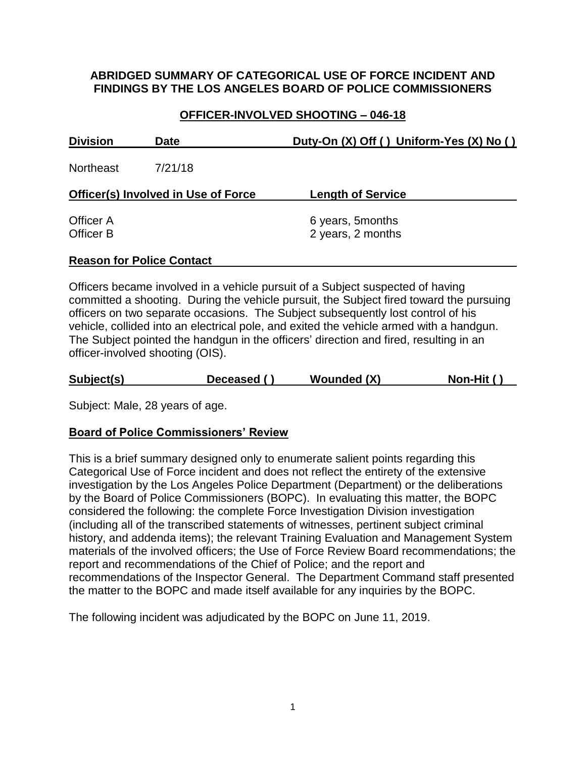## **ABRIDGED SUMMARY OF CATEGORICAL USE OF FORCE INCIDENT AND FINDINGS BY THE LOS ANGELES BOARD OF POLICE COMMISSIONERS**

# **OFFICER-INVOLVED SHOOTING – 046-18**

| <b>Division</b>                            | <b>Date</b>                      | Duty-On (X) Off () Uniform-Yes (X) No () |  |
|--------------------------------------------|----------------------------------|------------------------------------------|--|
| <b>Northeast</b>                           | 7/21/18                          |                                          |  |
| <b>Officer(s) Involved in Use of Force</b> |                                  | <b>Length of Service</b>                 |  |
| Officer A<br>Officer B                     |                                  | 6 years, 5 months<br>2 years, 2 months   |  |
|                                            | <b>Reason for Police Contact</b> |                                          |  |

# Officers became involved in a vehicle pursuit of a Subject suspected of having committed a shooting. During the vehicle pursuit, the Subject fired toward the pursuing officers on two separate occasions. The Subject subsequently lost control of his vehicle, collided into an electrical pole, and exited the vehicle armed with a handgun. The Subject pointed the handgun in the officers' direction and fired, resulting in an officer-involved shooting (OIS).

| Subject(s) | Deceased () | Wounded (X) | Non-Hit () |
|------------|-------------|-------------|------------|
|            |             |             |            |

Subject: Male, 28 years of age.

### **Board of Police Commissioners' Review**

This is a brief summary designed only to enumerate salient points regarding this Categorical Use of Force incident and does not reflect the entirety of the extensive investigation by the Los Angeles Police Department (Department) or the deliberations by the Board of Police Commissioners (BOPC). In evaluating this matter, the BOPC considered the following: the complete Force Investigation Division investigation (including all of the transcribed statements of witnesses, pertinent subject criminal history, and addenda items); the relevant Training Evaluation and Management System materials of the involved officers; the Use of Force Review Board recommendations; the report and recommendations of the Chief of Police; and the report and recommendations of the Inspector General. The Department Command staff presented the matter to the BOPC and made itself available for any inquiries by the BOPC.

The following incident was adjudicated by the BOPC on June 11, 2019.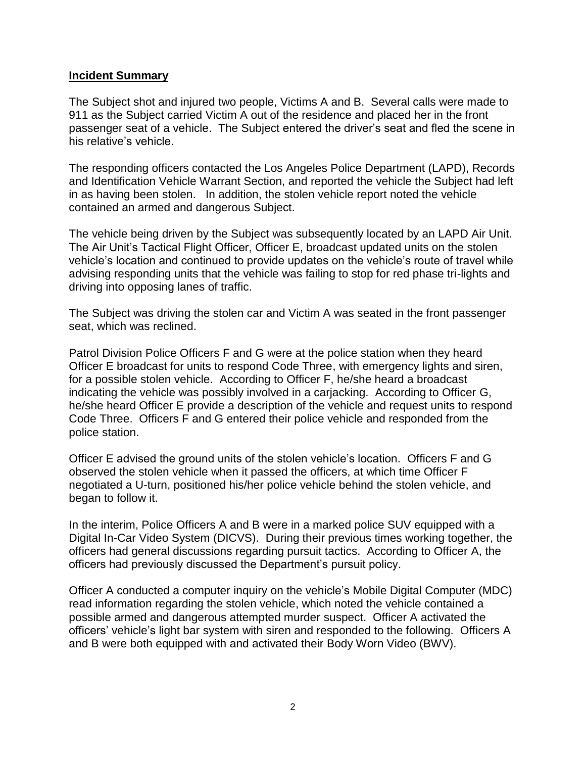#### **Incident Summary**

The Subject shot and injured two people, Victims A and B. Several calls were made to 911 as the Subject carried Victim A out of the residence and placed her in the front passenger seat of a vehicle. The Subject entered the driver's seat and fled the scene in his relative's vehicle.

The responding officers contacted the Los Angeles Police Department (LAPD), Records and Identification Vehicle Warrant Section, and reported the vehicle the Subject had left in as having been stolen. In addition, the stolen vehicle report noted the vehicle contained an armed and dangerous Subject.

The vehicle being driven by the Subject was subsequently located by an LAPD Air Unit. The Air Unit's Tactical Flight Officer, Officer E, broadcast updated units on the stolen vehicle's location and continued to provide updates on the vehicle's route of travel while advising responding units that the vehicle was failing to stop for red phase tri-lights and driving into opposing lanes of traffic.

The Subject was driving the stolen car and Victim A was seated in the front passenger seat, which was reclined.

Patrol Division Police Officers F and G were at the police station when they heard Officer E broadcast for units to respond Code Three, with emergency lights and siren, for a possible stolen vehicle. According to Officer F, he/she heard a broadcast indicating the vehicle was possibly involved in a carjacking. According to Officer G, he/she heard Officer E provide a description of the vehicle and request units to respond Code Three. Officers F and G entered their police vehicle and responded from the police station.

Officer E advised the ground units of the stolen vehicle's location. Officers F and G observed the stolen vehicle when it passed the officers, at which time Officer F negotiated a U-turn, positioned his/her police vehicle behind the stolen vehicle, and began to follow it.

In the interim, Police Officers A and B were in a marked police SUV equipped with a Digital In-Car Video System (DICVS). During their previous times working together, the officers had general discussions regarding pursuit tactics. According to Officer A, the officers had previously discussed the Department's pursuit policy.

Officer A conducted a computer inquiry on the vehicle's Mobile Digital Computer (MDC) read information regarding the stolen vehicle, which noted the vehicle contained a possible armed and dangerous attempted murder suspect. Officer A activated the officers' vehicle's light bar system with siren and responded to the following. Officers A and B were both equipped with and activated their Body Worn Video (BWV).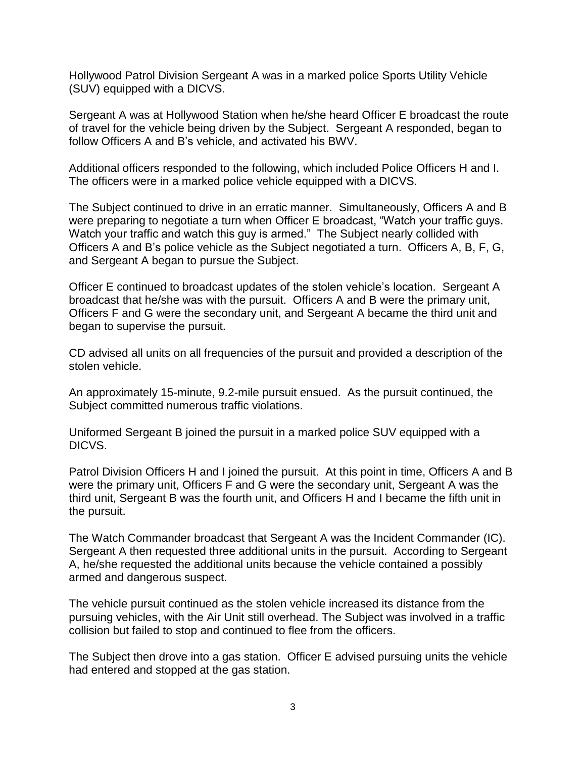Hollywood Patrol Division Sergeant A was in a marked police Sports Utility Vehicle (SUV) equipped with a DICVS.

Sergeant A was at Hollywood Station when he/she heard Officer E broadcast the route of travel for the vehicle being driven by the Subject. Sergeant A responded, began to follow Officers A and B's vehicle, and activated his BWV.

Additional officers responded to the following, which included Police Officers H and I. The officers were in a marked police vehicle equipped with a DICVS.

The Subject continued to drive in an erratic manner. Simultaneously, Officers A and B were preparing to negotiate a turn when Officer E broadcast, "Watch your traffic guys. Watch your traffic and watch this guy is armed." The Subject nearly collided with Officers A and B's police vehicle as the Subject negotiated a turn. Officers A, B, F, G, and Sergeant A began to pursue the Subject.

Officer E continued to broadcast updates of the stolen vehicle's location. Sergeant A broadcast that he/she was with the pursuit. Officers A and B were the primary unit, Officers F and G were the secondary unit, and Sergeant A became the third unit and began to supervise the pursuit.

CD advised all units on all frequencies of the pursuit and provided a description of the stolen vehicle.

An approximately 15-minute, 9.2-mile pursuit ensued. As the pursuit continued, the Subject committed numerous traffic violations.

Uniformed Sergeant B joined the pursuit in a marked police SUV equipped with a DICVS.

Patrol Division Officers H and I joined the pursuit. At this point in time, Officers A and B were the primary unit, Officers F and G were the secondary unit, Sergeant A was the third unit, Sergeant B was the fourth unit, and Officers H and I became the fifth unit in the pursuit.

The Watch Commander broadcast that Sergeant A was the Incident Commander (IC). Sergeant A then requested three additional units in the pursuit. According to Sergeant A, he/she requested the additional units because the vehicle contained a possibly armed and dangerous suspect.

The vehicle pursuit continued as the stolen vehicle increased its distance from the pursuing vehicles, with the Air Unit still overhead. The Subject was involved in a traffic collision but failed to stop and continued to flee from the officers.

The Subject then drove into a gas station. Officer E advised pursuing units the vehicle had entered and stopped at the gas station.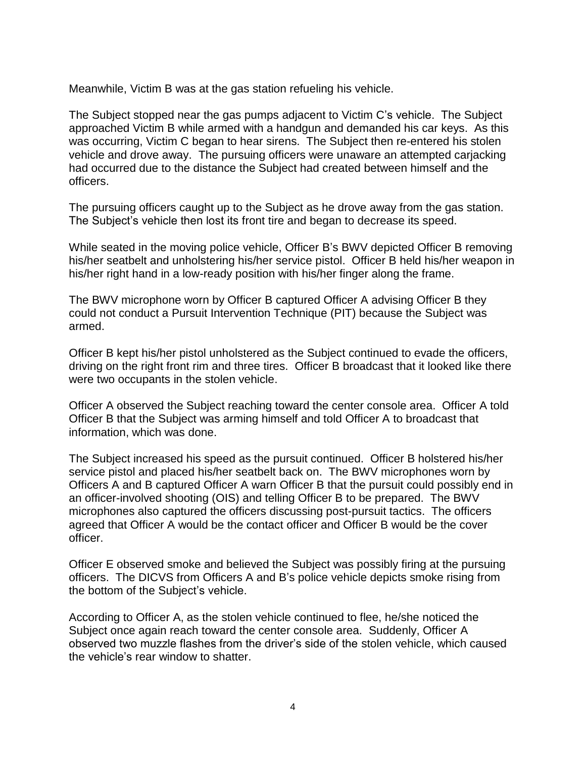Meanwhile, Victim B was at the gas station refueling his vehicle.

The Subject stopped near the gas pumps adjacent to Victim C's vehicle. The Subject approached Victim B while armed with a handgun and demanded his car keys. As this was occurring, Victim C began to hear sirens. The Subject then re-entered his stolen vehicle and drove away. The pursuing officers were unaware an attempted carjacking had occurred due to the distance the Subject had created between himself and the officers.

The pursuing officers caught up to the Subject as he drove away from the gas station. The Subject's vehicle then lost its front tire and began to decrease its speed.

While seated in the moving police vehicle, Officer B's BWV depicted Officer B removing his/her seatbelt and unholstering his/her service pistol. Officer B held his/her weapon in his/her right hand in a low-ready position with his/her finger along the frame.

The BWV microphone worn by Officer B captured Officer A advising Officer B they could not conduct a Pursuit Intervention Technique (PIT) because the Subject was armed.

Officer B kept his/her pistol unholstered as the Subject continued to evade the officers, driving on the right front rim and three tires. Officer B broadcast that it looked like there were two occupants in the stolen vehicle.

Officer A observed the Subject reaching toward the center console area. Officer A told Officer B that the Subject was arming himself and told Officer A to broadcast that information, which was done.

The Subject increased his speed as the pursuit continued. Officer B holstered his/her service pistol and placed his/her seatbelt back on. The BWV microphones worn by Officers A and B captured Officer A warn Officer B that the pursuit could possibly end in an officer-involved shooting (OIS) and telling Officer B to be prepared. The BWV microphones also captured the officers discussing post-pursuit tactics. The officers agreed that Officer A would be the contact officer and Officer B would be the cover officer.

Officer E observed smoke and believed the Subject was possibly firing at the pursuing officers. The DICVS from Officers A and B's police vehicle depicts smoke rising from the bottom of the Subject's vehicle.

According to Officer A, as the stolen vehicle continued to flee, he/she noticed the Subject once again reach toward the center console area. Suddenly, Officer A observed two muzzle flashes from the driver's side of the stolen vehicle, which caused the vehicle's rear window to shatter.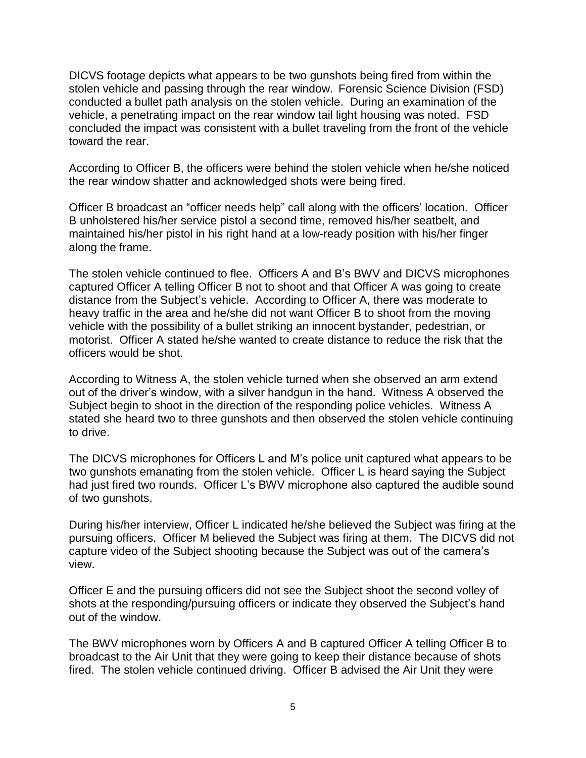DICVS footage depicts what appears to be two gunshots being fired from within the stolen vehicle and passing through the rear window. Forensic Science Division (FSD) conducted a bullet path analysis on the stolen vehicle. During an examination of the vehicle, a penetrating impact on the rear window tail light housing was noted. FSD concluded the impact was consistent with a bullet traveling from the front of the vehicle toward the rear.

According to Officer B, the officers were behind the stolen vehicle when he/she noticed the rear window shatter and acknowledged shots were being fired.

Officer B broadcast an "officer needs help" call along with the officers' location. Officer B unholstered his/her service pistol a second time, removed his/her seatbelt, and maintained his/her pistol in his right hand at a low-ready position with his/her finger along the frame.

The stolen vehicle continued to flee. Officers A and B's BWV and DICVS microphones captured Officer A telling Officer B not to shoot and that Officer A was going to create distance from the Subject's vehicle. According to Officer A, there was moderate to heavy traffic in the area and he/she did not want Officer B to shoot from the moving vehicle with the possibility of a bullet striking an innocent bystander, pedestrian, or motorist. Officer A stated he/she wanted to create distance to reduce the risk that the officers would be shot.

According to Witness A, the stolen vehicle turned when she observed an arm extend out of the driver's window, with a silver handgun in the hand. Witness A observed the Subject begin to shoot in the direction of the responding police vehicles. Witness A stated she heard two to three gunshots and then observed the stolen vehicle continuing to drive.

The DICVS microphones for Officers L and M's police unit captured what appears to be two gunshots emanating from the stolen vehicle. Officer L is heard saying the Subject had just fired two rounds. Officer L's BWV microphone also captured the audible sound of two gunshots.

During his/her interview, Officer L indicated he/she believed the Subject was firing at the pursuing officers. Officer M believed the Subject was firing at them. The DICVS did not capture video of the Subject shooting because the Subject was out of the camera's view.

Officer E and the pursuing officers did not see the Subject shoot the second volley of shots at the responding/pursuing officers or indicate they observed the Subject's hand out of the window.

The BWV microphones worn by Officers A and B captured Officer A telling Officer B to broadcast to the Air Unit that they were going to keep their distance because of shots fired. The stolen vehicle continued driving. Officer B advised the Air Unit they were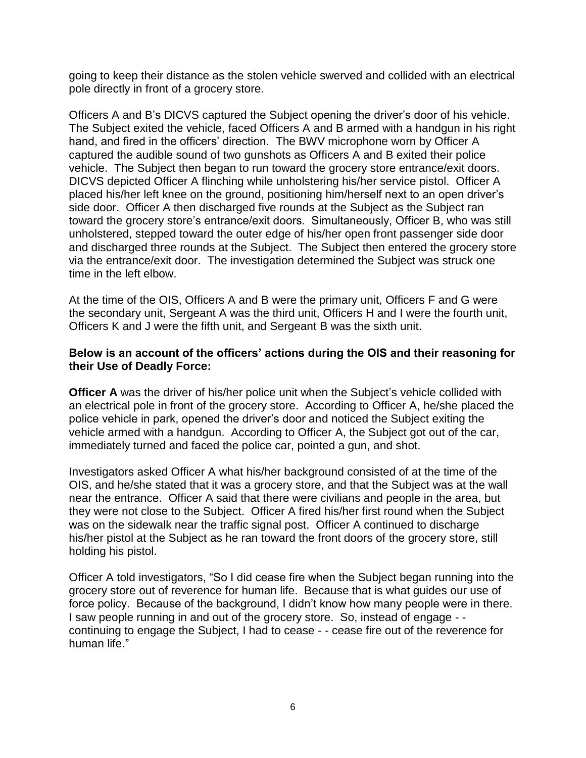going to keep their distance as the stolen vehicle swerved and collided with an electrical pole directly in front of a grocery store.

Officers A and B's DICVS captured the Subject opening the driver's door of his vehicle. The Subject exited the vehicle, faced Officers A and B armed with a handgun in his right hand, and fired in the officers' direction. The BWV microphone worn by Officer A captured the audible sound of two gunshots as Officers A and B exited their police vehicle. The Subject then began to run toward the grocery store entrance/exit doors. DICVS depicted Officer A flinching while unholstering his/her service pistol. Officer A placed his/her left knee on the ground, positioning him/herself next to an open driver's side door. Officer A then discharged five rounds at the Subject as the Subject ran toward the grocery store's entrance/exit doors. Simultaneously, Officer B, who was still unholstered, stepped toward the outer edge of his/her open front passenger side door and discharged three rounds at the Subject. The Subject then entered the grocery store via the entrance/exit door. The investigation determined the Subject was struck one time in the left elbow.

At the time of the OIS, Officers A and B were the primary unit, Officers F and G were the secondary unit, Sergeant A was the third unit, Officers H and I were the fourth unit, Officers K and J were the fifth unit, and Sergeant B was the sixth unit.

### **Below is an account of the officers' actions during the OIS and their reasoning for their Use of Deadly Force:**

**Officer A** was the driver of his/her police unit when the Subject's vehicle collided with an electrical pole in front of the grocery store. According to Officer A, he/she placed the police vehicle in park, opened the driver's door and noticed the Subject exiting the vehicle armed with a handgun. According to Officer A, the Subject got out of the car, immediately turned and faced the police car, pointed a gun, and shot.

Investigators asked Officer A what his/her background consisted of at the time of the OIS, and he/she stated that it was a grocery store, and that the Subject was at the wall near the entrance. Officer A said that there were civilians and people in the area, but they were not close to the Subject. Officer A fired his/her first round when the Subject was on the sidewalk near the traffic signal post. Officer A continued to discharge his/her pistol at the Subject as he ran toward the front doors of the grocery store, still holding his pistol.

Officer A told investigators, "So I did cease fire when the Subject began running into the grocery store out of reverence for human life. Because that is what guides our use of force policy. Because of the background, I didn't know how many people were in there. I saw people running in and out of the grocery store. So, instead of engage - continuing to engage the Subject, I had to cease - - cease fire out of the reverence for human life."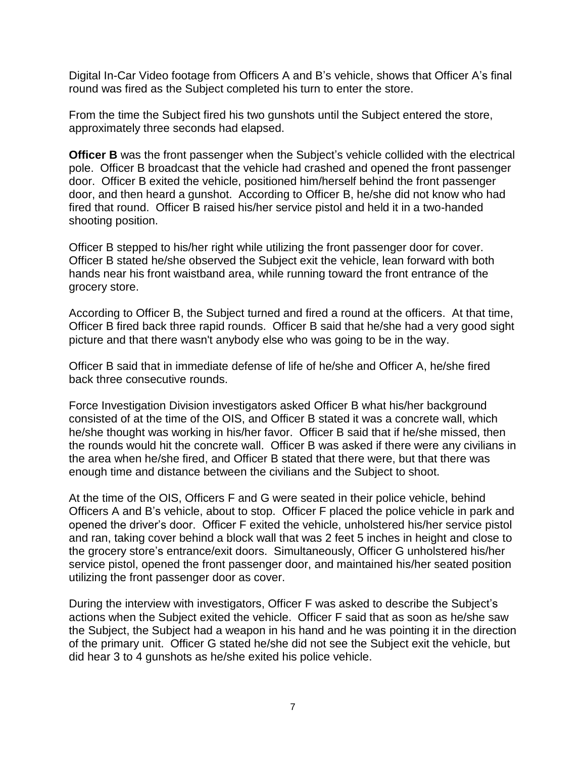Digital In-Car Video footage from Officers A and B's vehicle, shows that Officer A's final round was fired as the Subject completed his turn to enter the store.

From the time the Subject fired his two gunshots until the Subject entered the store, approximately three seconds had elapsed.

**Officer B** was the front passenger when the Subject's vehicle collided with the electrical pole. Officer B broadcast that the vehicle had crashed and opened the front passenger door. Officer B exited the vehicle, positioned him/herself behind the front passenger door, and then heard a gunshot. According to Officer B, he/she did not know who had fired that round. Officer B raised his/her service pistol and held it in a two-handed shooting position.

Officer B stepped to his/her right while utilizing the front passenger door for cover. Officer B stated he/she observed the Subject exit the vehicle, lean forward with both hands near his front waistband area, while running toward the front entrance of the grocery store.

According to Officer B, the Subject turned and fired a round at the officers. At that time, Officer B fired back three rapid rounds. Officer B said that he/she had a very good sight picture and that there wasn't anybody else who was going to be in the way.

Officer B said that in immediate defense of life of he/she and Officer A, he/she fired back three consecutive rounds.

Force Investigation Division investigators asked Officer B what his/her background consisted of at the time of the OIS, and Officer B stated it was a concrete wall, which he/she thought was working in his/her favor. Officer B said that if he/she missed, then the rounds would hit the concrete wall. Officer B was asked if there were any civilians in the area when he/she fired, and Officer B stated that there were, but that there was enough time and distance between the civilians and the Subject to shoot.

At the time of the OIS, Officers F and G were seated in their police vehicle, behind Officers A and B's vehicle, about to stop. Officer F placed the police vehicle in park and opened the driver's door. Officer F exited the vehicle, unholstered his/her service pistol and ran, taking cover behind a block wall that was 2 feet 5 inches in height and close to the grocery store's entrance/exit doors. Simultaneously, Officer G unholstered his/her service pistol, opened the front passenger door, and maintained his/her seated position utilizing the front passenger door as cover.

During the interview with investigators, Officer F was asked to describe the Subject's actions when the Subject exited the vehicle. Officer F said that as soon as he/she saw the Subject, the Subject had a weapon in his hand and he was pointing it in the direction of the primary unit. Officer G stated he/she did not see the Subject exit the vehicle, but did hear 3 to 4 gunshots as he/she exited his police vehicle.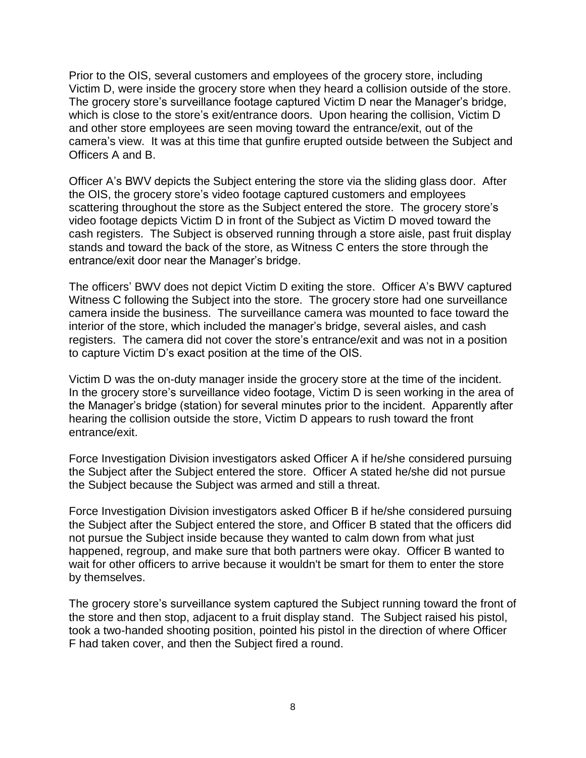Prior to the OIS, several customers and employees of the grocery store, including Victim D, were inside the grocery store when they heard a collision outside of the store. The grocery store's surveillance footage captured Victim D near the Manager's bridge, which is close to the store's exit/entrance doors. Upon hearing the collision, Victim D and other store employees are seen moving toward the entrance/exit, out of the camera's view. It was at this time that gunfire erupted outside between the Subject and Officers A and B.

Officer A's BWV depicts the Subject entering the store via the sliding glass door. After the OIS, the grocery store's video footage captured customers and employees scattering throughout the store as the Subject entered the store. The grocery store's video footage depicts Victim D in front of the Subject as Victim D moved toward the cash registers. The Subject is observed running through a store aisle, past fruit display stands and toward the back of the store, as Witness C enters the store through the entrance/exit door near the Manager's bridge.

The officers' BWV does not depict Victim D exiting the store. Officer A's BWV captured Witness C following the Subject into the store. The grocery store had one surveillance camera inside the business. The surveillance camera was mounted to face toward the interior of the store, which included the manager's bridge, several aisles, and cash registers. The camera did not cover the store's entrance/exit and was not in a position to capture Victim D's exact position at the time of the OIS.

Victim D was the on-duty manager inside the grocery store at the time of the incident. In the grocery store's surveillance video footage, Victim D is seen working in the area of the Manager's bridge (station) for several minutes prior to the incident. Apparently after hearing the collision outside the store, Victim D appears to rush toward the front entrance/exit.

Force Investigation Division investigators asked Officer A if he/she considered pursuing the Subject after the Subject entered the store. Officer A stated he/she did not pursue the Subject because the Subject was armed and still a threat.

Force Investigation Division investigators asked Officer B if he/she considered pursuing the Subject after the Subject entered the store, and Officer B stated that the officers did not pursue the Subject inside because they wanted to calm down from what just happened, regroup, and make sure that both partners were okay. Officer B wanted to wait for other officers to arrive because it wouldn't be smart for them to enter the store by themselves.

The grocery store's surveillance system captured the Subject running toward the front of the store and then stop, adjacent to a fruit display stand. The Subject raised his pistol, took a two-handed shooting position, pointed his pistol in the direction of where Officer F had taken cover, and then the Subject fired a round.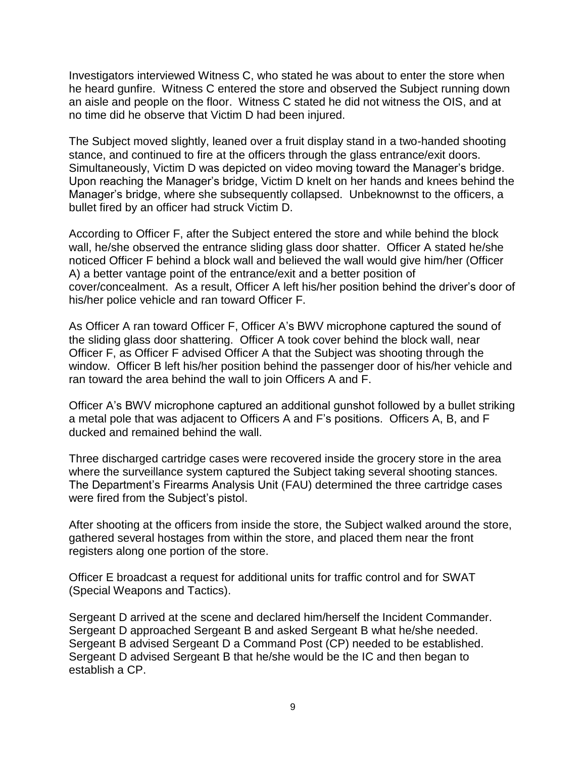Investigators interviewed Witness C, who stated he was about to enter the store when he heard gunfire. Witness C entered the store and observed the Subject running down an aisle and people on the floor. Witness C stated he did not witness the OIS, and at no time did he observe that Victim D had been injured.

The Subject moved slightly, leaned over a fruit display stand in a two-handed shooting stance, and continued to fire at the officers through the glass entrance/exit doors. Simultaneously, Victim D was depicted on video moving toward the Manager's bridge. Upon reaching the Manager's bridge, Victim D knelt on her hands and knees behind the Manager's bridge, where she subsequently collapsed. Unbeknownst to the officers, a bullet fired by an officer had struck Victim D.

According to Officer F, after the Subject entered the store and while behind the block wall, he/she observed the entrance sliding glass door shatter. Officer A stated he/she noticed Officer F behind a block wall and believed the wall would give him/her (Officer A) a better vantage point of the entrance/exit and a better position of cover/concealment. As a result, Officer A left his/her position behind the driver's door of his/her police vehicle and ran toward Officer F.

As Officer A ran toward Officer F, Officer A's BWV microphone captured the sound of the sliding glass door shattering. Officer A took cover behind the block wall, near Officer F, as Officer F advised Officer A that the Subject was shooting through the window. Officer B left his/her position behind the passenger door of his/her vehicle and ran toward the area behind the wall to join Officers A and F.

Officer A's BWV microphone captured an additional gunshot followed by a bullet striking a metal pole that was adjacent to Officers A and F's positions. Officers A, B, and F ducked and remained behind the wall.

Three discharged cartridge cases were recovered inside the grocery store in the area where the surveillance system captured the Subject taking several shooting stances. The Department's Firearms Analysis Unit (FAU) determined the three cartridge cases were fired from the Subject's pistol.

After shooting at the officers from inside the store, the Subject walked around the store, gathered several hostages from within the store, and placed them near the front registers along one portion of the store.

Officer E broadcast a request for additional units for traffic control and for SWAT (Special Weapons and Tactics).

Sergeant D arrived at the scene and declared him/herself the Incident Commander. Sergeant D approached Sergeant B and asked Sergeant B what he/she needed. Sergeant B advised Sergeant D a Command Post (CP) needed to be established. Sergeant D advised Sergeant B that he/she would be the IC and then began to establish a CP.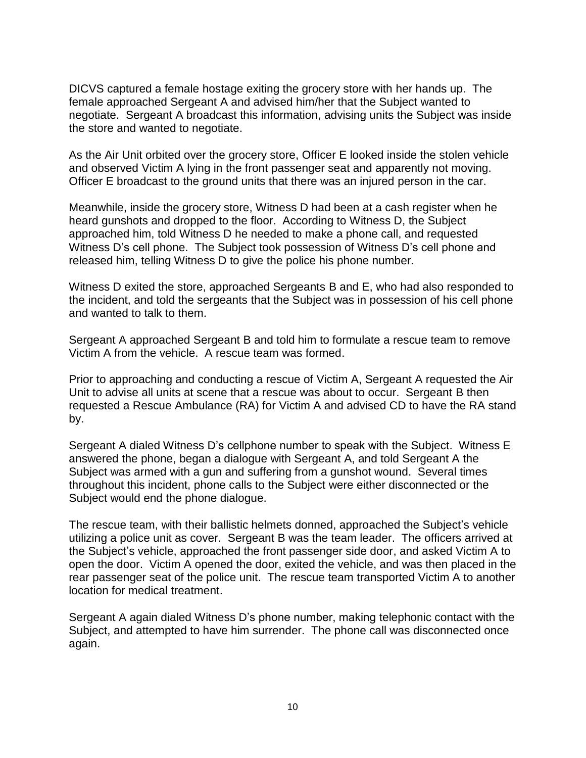DICVS captured a female hostage exiting the grocery store with her hands up. The female approached Sergeant A and advised him/her that the Subject wanted to negotiate. Sergeant A broadcast this information, advising units the Subject was inside the store and wanted to negotiate.

As the Air Unit orbited over the grocery store, Officer E looked inside the stolen vehicle and observed Victim A lying in the front passenger seat and apparently not moving. Officer E broadcast to the ground units that there was an injured person in the car.

Meanwhile, inside the grocery store, Witness D had been at a cash register when he heard gunshots and dropped to the floor. According to Witness D, the Subject approached him, told Witness D he needed to make a phone call, and requested Witness D's cell phone. The Subject took possession of Witness D's cell phone and released him, telling Witness D to give the police his phone number.

Witness D exited the store, approached Sergeants B and E, who had also responded to the incident, and told the sergeants that the Subject was in possession of his cell phone and wanted to talk to them.

Sergeant A approached Sergeant B and told him to formulate a rescue team to remove Victim A from the vehicle. A rescue team was formed.

Prior to approaching and conducting a rescue of Victim A, Sergeant A requested the Air Unit to advise all units at scene that a rescue was about to occur. Sergeant B then requested a Rescue Ambulance (RA) for Victim A and advised CD to have the RA stand by.

Sergeant A dialed Witness D's cellphone number to speak with the Subject. Witness E answered the phone, began a dialogue with Sergeant A, and told Sergeant A the Subject was armed with a gun and suffering from a gunshot wound. Several times throughout this incident, phone calls to the Subject were either disconnected or the Subject would end the phone dialogue.

The rescue team, with their ballistic helmets donned, approached the Subject's vehicle utilizing a police unit as cover. Sergeant B was the team leader. The officers arrived at the Subject's vehicle, approached the front passenger side door, and asked Victim A to open the door. Victim A opened the door, exited the vehicle, and was then placed in the rear passenger seat of the police unit. The rescue team transported Victim A to another location for medical treatment.

Sergeant A again dialed Witness D's phone number, making telephonic contact with the Subject, and attempted to have him surrender. The phone call was disconnected once again.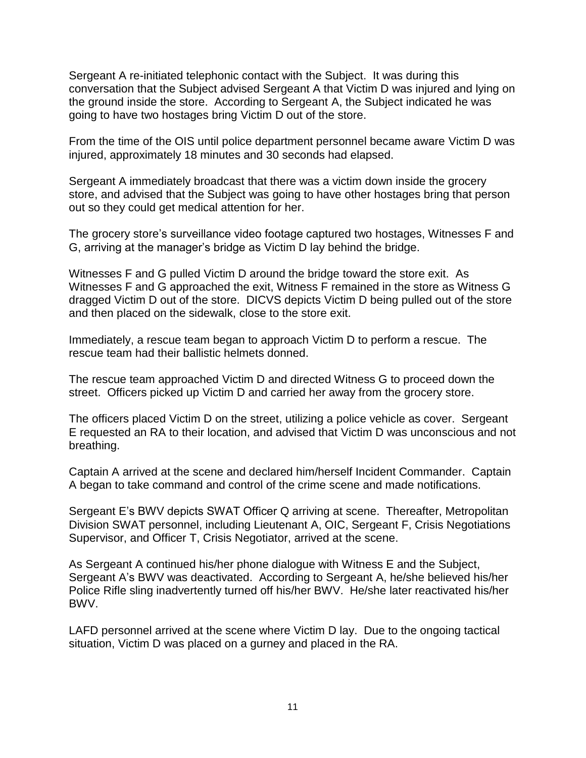Sergeant A re-initiated telephonic contact with the Subject. It was during this conversation that the Subject advised Sergeant A that Victim D was injured and lying on the ground inside the store. According to Sergeant A, the Subject indicated he was going to have two hostages bring Victim D out of the store.

From the time of the OIS until police department personnel became aware Victim D was injured, approximately 18 minutes and 30 seconds had elapsed.

Sergeant A immediately broadcast that there was a victim down inside the grocery store, and advised that the Subject was going to have other hostages bring that person out so they could get medical attention for her.

The grocery store's surveillance video footage captured two hostages, Witnesses F and G, arriving at the manager's bridge as Victim D lay behind the bridge.

Witnesses F and G pulled Victim D around the bridge toward the store exit. As Witnesses F and G approached the exit, Witness F remained in the store as Witness G dragged Victim D out of the store. DICVS depicts Victim D being pulled out of the store and then placed on the sidewalk, close to the store exit.

Immediately, a rescue team began to approach Victim D to perform a rescue. The rescue team had their ballistic helmets donned.

The rescue team approached Victim D and directed Witness G to proceed down the street. Officers picked up Victim D and carried her away from the grocery store.

The officers placed Victim D on the street, utilizing a police vehicle as cover. Sergeant E requested an RA to their location, and advised that Victim D was unconscious and not breathing.

Captain A arrived at the scene and declared him/herself Incident Commander. Captain A began to take command and control of the crime scene and made notifications.

Sergeant E's BWV depicts SWAT Officer Q arriving at scene. Thereafter, Metropolitan Division SWAT personnel, including Lieutenant A, OIC, Sergeant F, Crisis Negotiations Supervisor, and Officer T, Crisis Negotiator, arrived at the scene.

As Sergeant A continued his/her phone dialogue with Witness E and the Subject, Sergeant A's BWV was deactivated. According to Sergeant A, he/she believed his/her Police Rifle sling inadvertently turned off his/her BWV. He/she later reactivated his/her BWV.

LAFD personnel arrived at the scene where Victim D lay. Due to the ongoing tactical situation, Victim D was placed on a gurney and placed in the RA.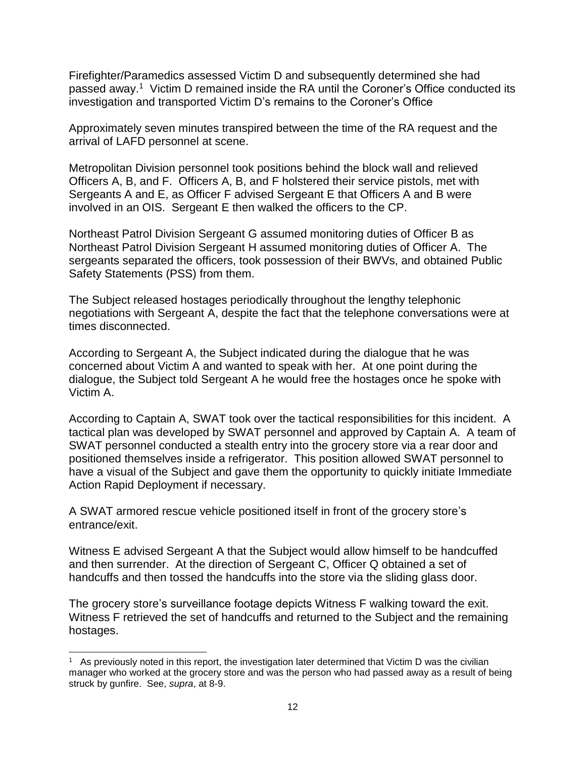Firefighter/Paramedics assessed Victim D and subsequently determined she had passed away.<sup>1</sup> Victim D remained inside the RA until the Coroner's Office conducted its investigation and transported Victim D's remains to the Coroner's Office

Approximately seven minutes transpired between the time of the RA request and the arrival of LAFD personnel at scene.

Metropolitan Division personnel took positions behind the block wall and relieved Officers A, B, and F. Officers A, B, and F holstered their service pistols, met with Sergeants A and E, as Officer F advised Sergeant E that Officers A and B were involved in an OIS. Sergeant E then walked the officers to the CP.

Northeast Patrol Division Sergeant G assumed monitoring duties of Officer B as Northeast Patrol Division Sergeant H assumed monitoring duties of Officer A. The sergeants separated the officers, took possession of their BWVs, and obtained Public Safety Statements (PSS) from them.

The Subject released hostages periodically throughout the lengthy telephonic negotiations with Sergeant A, despite the fact that the telephone conversations were at times disconnected.

According to Sergeant A, the Subject indicated during the dialogue that he was concerned about Victim A and wanted to speak with her. At one point during the dialogue, the Subject told Sergeant A he would free the hostages once he spoke with Victim A.

According to Captain A, SWAT took over the tactical responsibilities for this incident. A tactical plan was developed by SWAT personnel and approved by Captain A. A team of SWAT personnel conducted a stealth entry into the grocery store via a rear door and positioned themselves inside a refrigerator. This position allowed SWAT personnel to have a visual of the Subject and gave them the opportunity to quickly initiate Immediate Action Rapid Deployment if necessary.

A SWAT armored rescue vehicle positioned itself in front of the grocery store's entrance/exit.

Witness E advised Sergeant A that the Subject would allow himself to be handcuffed and then surrender. At the direction of Sergeant C, Officer Q obtained a set of handcuffs and then tossed the handcuffs into the store via the sliding glass door.

The grocery store's surveillance footage depicts Witness F walking toward the exit. Witness F retrieved the set of handcuffs and returned to the Subject and the remaining hostages.

l

<sup>1</sup> As previously noted in this report, the investigation later determined that Victim D was the civilian manager who worked at the grocery store and was the person who had passed away as a result of being struck by gunfire. See, *supra*, at 8-9.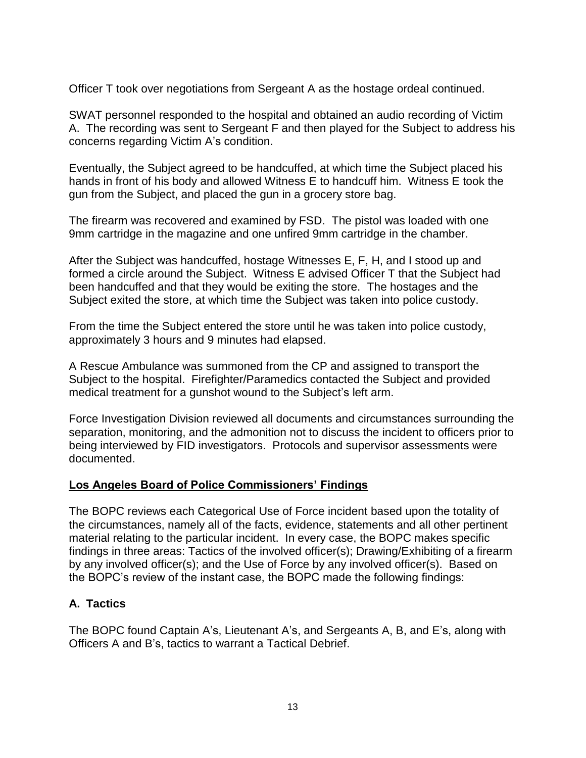Officer T took over negotiations from Sergeant A as the hostage ordeal continued.

SWAT personnel responded to the hospital and obtained an audio recording of Victim A. The recording was sent to Sergeant F and then played for the Subject to address his concerns regarding Victim A's condition.

Eventually, the Subject agreed to be handcuffed, at which time the Subject placed his hands in front of his body and allowed Witness E to handcuff him. Witness E took the gun from the Subject, and placed the gun in a grocery store bag.

The firearm was recovered and examined by FSD. The pistol was loaded with one 9mm cartridge in the magazine and one unfired 9mm cartridge in the chamber.

After the Subject was handcuffed, hostage Witnesses E, F, H, and I stood up and formed a circle around the Subject. Witness E advised Officer T that the Subject had been handcuffed and that they would be exiting the store. The hostages and the Subject exited the store, at which time the Subject was taken into police custody.

From the time the Subject entered the store until he was taken into police custody, approximately 3 hours and 9 minutes had elapsed.

A Rescue Ambulance was summoned from the CP and assigned to transport the Subject to the hospital. Firefighter/Paramedics contacted the Subject and provided medical treatment for a gunshot wound to the Subject's left arm.

Force Investigation Division reviewed all documents and circumstances surrounding the separation, monitoring, and the admonition not to discuss the incident to officers prior to being interviewed by FID investigators. Protocols and supervisor assessments were documented.

# **Los Angeles Board of Police Commissioners' Findings**

The BOPC reviews each Categorical Use of Force incident based upon the totality of the circumstances, namely all of the facts, evidence, statements and all other pertinent material relating to the particular incident. In every case, the BOPC makes specific findings in three areas: Tactics of the involved officer(s); Drawing/Exhibiting of a firearm by any involved officer(s); and the Use of Force by any involved officer(s). Based on the BOPC's review of the instant case, the BOPC made the following findings:

# **A. Tactics**

The BOPC found Captain A's, Lieutenant A's, and Sergeants A, B, and E's, along with Officers A and B's, tactics to warrant a Tactical Debrief.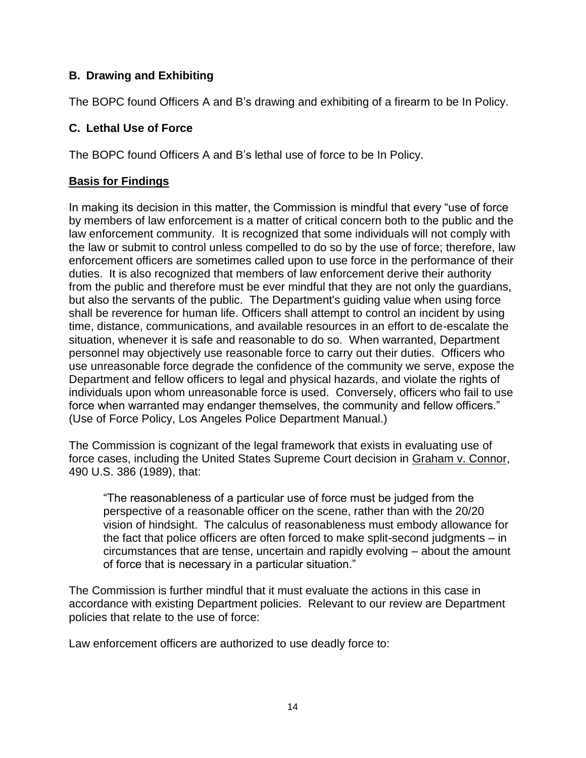# **B. Drawing and Exhibiting**

The BOPC found Officers A and B's drawing and exhibiting of a firearm to be In Policy.

# **C. Lethal Use of Force**

The BOPC found Officers A and B's lethal use of force to be In Policy.

# **Basis for Findings**

In making its decision in this matter, the Commission is mindful that every "use of force by members of law enforcement is a matter of critical concern both to the public and the law enforcement community. It is recognized that some individuals will not comply with the law or submit to control unless compelled to do so by the use of force; therefore, law enforcement officers are sometimes called upon to use force in the performance of their duties. It is also recognized that members of law enforcement derive their authority from the public and therefore must be ever mindful that they are not only the guardians, but also the servants of the public. The Department's guiding value when using force shall be reverence for human life. Officers shall attempt to control an incident by using time, distance, communications, and available resources in an effort to de-escalate the situation, whenever it is safe and reasonable to do so. When warranted, Department personnel may objectively use reasonable force to carry out their duties. Officers who use unreasonable force degrade the confidence of the community we serve, expose the Department and fellow officers to legal and physical hazards, and violate the rights of individuals upon whom unreasonable force is used. Conversely, officers who fail to use force when warranted may endanger themselves, the community and fellow officers." (Use of Force Policy, Los Angeles Police Department Manual.)

The Commission is cognizant of the legal framework that exists in evaluating use of force cases, including the United States Supreme Court decision in Graham v. Connor, 490 U.S. 386 (1989), that:

"The reasonableness of a particular use of force must be judged from the perspective of a reasonable officer on the scene, rather than with the 20/20 vision of hindsight. The calculus of reasonableness must embody allowance for the fact that police officers are often forced to make split-second judgments – in circumstances that are tense, uncertain and rapidly evolving – about the amount of force that is necessary in a particular situation."

The Commission is further mindful that it must evaluate the actions in this case in accordance with existing Department policies. Relevant to our review are Department policies that relate to the use of force:

Law enforcement officers are authorized to use deadly force to: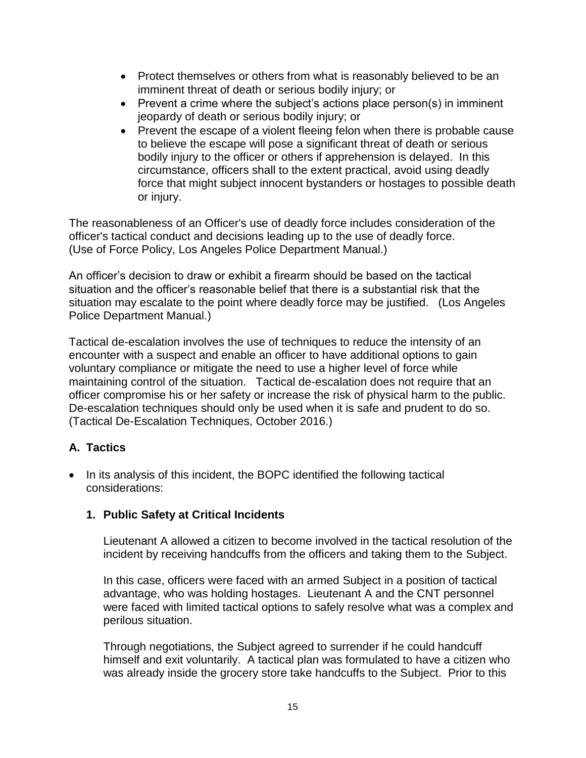- Protect themselves or others from what is reasonably believed to be an imminent threat of death or serious bodily injury; or
- Prevent a crime where the subject's actions place person(s) in imminent jeopardy of death or serious bodily injury; or
- Prevent the escape of a violent fleeing felon when there is probable cause to believe the escape will pose a significant threat of death or serious bodily injury to the officer or others if apprehension is delayed. In this circumstance, officers shall to the extent practical, avoid using deadly force that might subject innocent bystanders or hostages to possible death or injury.

The reasonableness of an Officer's use of deadly force includes consideration of the officer's tactical conduct and decisions leading up to the use of deadly force. (Use of Force Policy, Los Angeles Police Department Manual.)

An officer's decision to draw or exhibit a firearm should be based on the tactical situation and the officer's reasonable belief that there is a substantial risk that the situation may escalate to the point where deadly force may be justified. (Los Angeles Police Department Manual.)

Tactical de-escalation involves the use of techniques to reduce the intensity of an encounter with a suspect and enable an officer to have additional options to gain voluntary compliance or mitigate the need to use a higher level of force while maintaining control of the situation. Tactical de-escalation does not require that an officer compromise his or her safety or increase the risk of physical harm to the public. De-escalation techniques should only be used when it is safe and prudent to do so. (Tactical De-Escalation Techniques, October 2016.)

# **A. Tactics**

• In its analysis of this incident, the BOPC identified the following tactical considerations:

# **1. Public Safety at Critical Incidents**

Lieutenant A allowed a citizen to become involved in the tactical resolution of the incident by receiving handcuffs from the officers and taking them to the Subject.

In this case, officers were faced with an armed Subject in a position of tactical advantage, who was holding hostages. Lieutenant A and the CNT personnel were faced with limited tactical options to safely resolve what was a complex and perilous situation.

Through negotiations, the Subject agreed to surrender if he could handcuff himself and exit voluntarily. A tactical plan was formulated to have a citizen who was already inside the grocery store take handcuffs to the Subject. Prior to this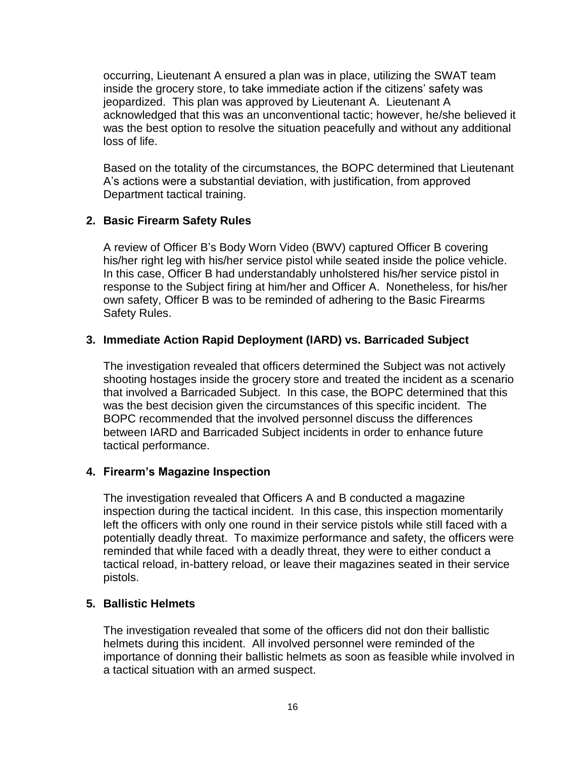occurring, Lieutenant A ensured a plan was in place, utilizing the SWAT team inside the grocery store, to take immediate action if the citizens' safety was jeopardized. This plan was approved by Lieutenant A. Lieutenant A acknowledged that this was an unconventional tactic; however, he/she believed it was the best option to resolve the situation peacefully and without any additional loss of life.

Based on the totality of the circumstances, the BOPC determined that Lieutenant A's actions were a substantial deviation, with justification, from approved Department tactical training.

## **2. Basic Firearm Safety Rules**

A review of Officer B's Body Worn Video (BWV) captured Officer B covering his/her right leg with his/her service pistol while seated inside the police vehicle. In this case, Officer B had understandably unholstered his/her service pistol in response to the Subject firing at him/her and Officer A. Nonetheless, for his/her own safety, Officer B was to be reminded of adhering to the Basic Firearms Safety Rules.

## **3. Immediate Action Rapid Deployment (IARD) vs. Barricaded Subject**

The investigation revealed that officers determined the Subject was not actively shooting hostages inside the grocery store and treated the incident as a scenario that involved a Barricaded Subject. In this case, the BOPC determined that this was the best decision given the circumstances of this specific incident. The BOPC recommended that the involved personnel discuss the differences between IARD and Barricaded Subject incidents in order to enhance future tactical performance.

### **4. Firearm's Magazine Inspection**

The investigation revealed that Officers A and B conducted a magazine inspection during the tactical incident. In this case, this inspection momentarily left the officers with only one round in their service pistols while still faced with a potentially deadly threat. To maximize performance and safety, the officers were reminded that while faced with a deadly threat, they were to either conduct a tactical reload, in-battery reload, or leave their magazines seated in their service pistols.

### **5. Ballistic Helmets**

The investigation revealed that some of the officers did not don their ballistic helmets during this incident. All involved personnel were reminded of the importance of donning their ballistic helmets as soon as feasible while involved in a tactical situation with an armed suspect.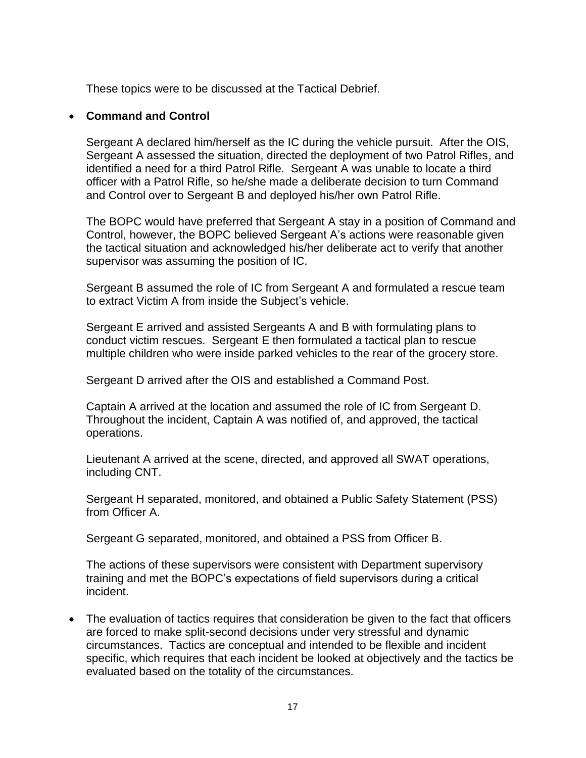These topics were to be discussed at the Tactical Debrief.

#### • **Command and Control**

Sergeant A declared him/herself as the IC during the vehicle pursuit. After the OIS, Sergeant A assessed the situation, directed the deployment of two Patrol Rifles, and identified a need for a third Patrol Rifle. Sergeant A was unable to locate a third officer with a Patrol Rifle, so he/she made a deliberate decision to turn Command and Control over to Sergeant B and deployed his/her own Patrol Rifle.

The BOPC would have preferred that Sergeant A stay in a position of Command and Control, however, the BOPC believed Sergeant A's actions were reasonable given the tactical situation and acknowledged his/her deliberate act to verify that another supervisor was assuming the position of IC.

Sergeant B assumed the role of IC from Sergeant A and formulated a rescue team to extract Victim A from inside the Subject's vehicle.

Sergeant E arrived and assisted Sergeants A and B with formulating plans to conduct victim rescues. Sergeant E then formulated a tactical plan to rescue multiple children who were inside parked vehicles to the rear of the grocery store.

Sergeant D arrived after the OIS and established a Command Post.

Captain A arrived at the location and assumed the role of IC from Sergeant D. Throughout the incident, Captain A was notified of, and approved, the tactical operations.

Lieutenant A arrived at the scene, directed, and approved all SWAT operations, including CNT.

Sergeant H separated, monitored, and obtained a Public Safety Statement (PSS) from Officer A.

Sergeant G separated, monitored, and obtained a PSS from Officer B.

The actions of these supervisors were consistent with Department supervisory training and met the BOPC's expectations of field supervisors during a critical incident.

• The evaluation of tactics requires that consideration be given to the fact that officers are forced to make split-second decisions under very stressful and dynamic circumstances. Tactics are conceptual and intended to be flexible and incident specific, which requires that each incident be looked at objectively and the tactics be evaluated based on the totality of the circumstances.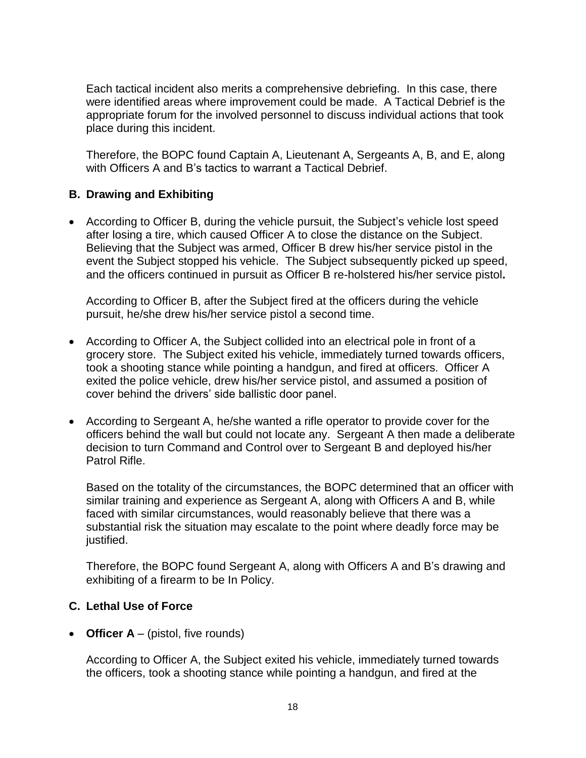Each tactical incident also merits a comprehensive debriefing. In this case, there were identified areas where improvement could be made. A Tactical Debrief is the appropriate forum for the involved personnel to discuss individual actions that took place during this incident.

Therefore, the BOPC found Captain A, Lieutenant A, Sergeants A, B, and E, along with Officers A and B's tactics to warrant a Tactical Debrief.

# **B. Drawing and Exhibiting**

• According to Officer B, during the vehicle pursuit, the Subject's vehicle lost speed after losing a tire, which caused Officer A to close the distance on the Subject. Believing that the Subject was armed, Officer B drew his/her service pistol in the event the Subject stopped his vehicle. The Subject subsequently picked up speed, and the officers continued in pursuit as Officer B re-holstered his/her service pistol**.**

According to Officer B, after the Subject fired at the officers during the vehicle pursuit, he/she drew his/her service pistol a second time.

- According to Officer A, the Subject collided into an electrical pole in front of a grocery store. The Subject exited his vehicle, immediately turned towards officers, took a shooting stance while pointing a handgun, and fired at officers. Officer A exited the police vehicle, drew his/her service pistol, and assumed a position of cover behind the drivers' side ballistic door panel.
- According to Sergeant A, he/she wanted a rifle operator to provide cover for the officers behind the wall but could not locate any. Sergeant A then made a deliberate decision to turn Command and Control over to Sergeant B and deployed his/her Patrol Rifle.

Based on the totality of the circumstances, the BOPC determined that an officer with similar training and experience as Sergeant A, along with Officers A and B, while faced with similar circumstances, would reasonably believe that there was a substantial risk the situation may escalate to the point where deadly force may be justified.

Therefore, the BOPC found Sergeant A, along with Officers A and B's drawing and exhibiting of a firearm to be In Policy.

## **C. Lethal Use of Force**

• **Officer A** – (pistol, five rounds)

According to Officer A, the Subject exited his vehicle, immediately turned towards the officers, took a shooting stance while pointing a handgun, and fired at the